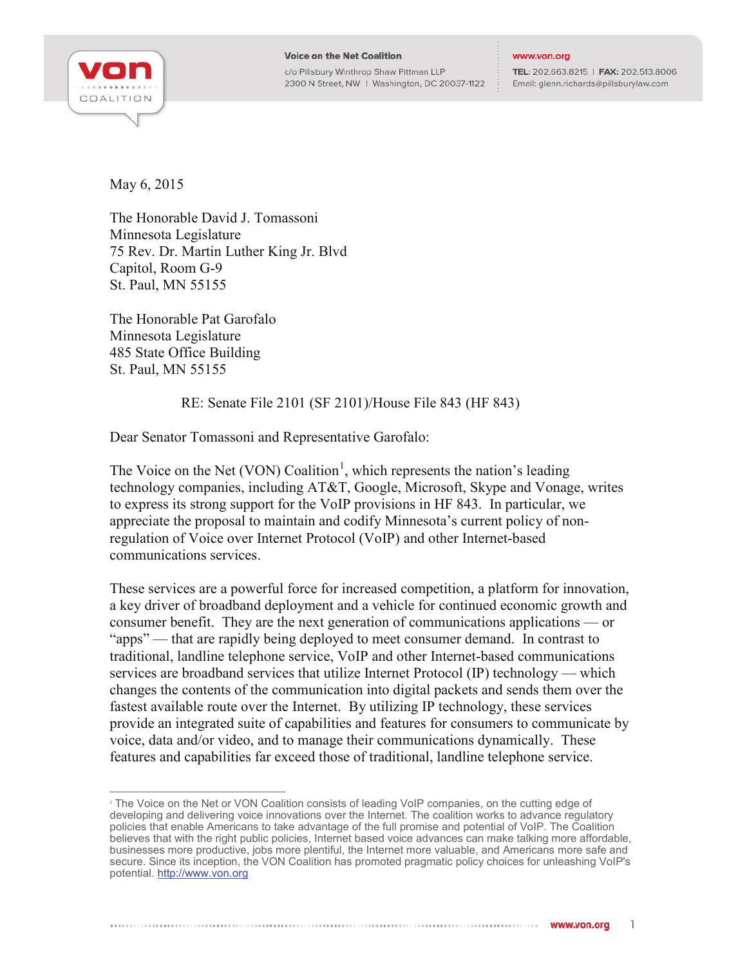

## **Voice on the Net Coalition**

c/o Pillsbury Winthrop Shaw Pittman LLP 2300 N Street, NW | Washington, DC 20037-1122

## www.von.org

TEL: 202.663.8215 | FAX: 202.513.8006 Email: glenn.richards@pillsburylaw.com

May 6, 2015

The Honorable David J. Tomassoni Minnesota Legislature 75 Rev. Dr. Martin Luther King Jr. Blvd Capitol, Room G-9 St. Paul, MN 55155

The Honorable Pat Garofalo Minnesota Legislature 485 State Office Building St. Paul, MN 55155

## RE: Senate File 2101 (SF 2101)/House File 843 (HF 843)

Dear Senator Tomassoni and Representative Garofalo:

The Voice on the Net (VON) Coalition<sup>[1](#page-0-0)</sup>, which represents the nation's leading technology companies, including AT&T, Google, Microsoft, Skype and Vonage, writes to express its strong support for the VoIP provisions in HF 843. In particular, we appreciate the proposal to maintain and codify Minnesota's current policy of nonregulation of Voice over Internet Protocol (VoIP) and other Internet-based communications services.

These services are a powerful force for increased competition, a platform for innovation, a key driver of broadband deployment and a vehicle for continued economic growth and consumer benefit. They are the next generation of communications applications — or "apps" — that are rapidly being deployed to meet consumer demand. In contrast to traditional, landline telephone service, VoIP and other Internet-based communications services are broadband services that utilize Internet Protocol (IP) technology — which changes the contents of the communication into digital packets and sends them over the fastest available route over the Internet. By utilizing IP technology, these services provide an integrated suite of capabilities and features for consumers to communicate by voice, data and/or video, and to manage their communications dynamically. These features and capabilities far exceed those of traditional, landline telephone service.

<span id="page-0-0"></span><sup>&</sup>lt;sup>1</sup> The Voice on the Net or VON Coalition consists of leading VoIP companies, on the cutting edge of developing and delivering voice innovations over the Internet. The coalition works to advance regulatory policies that enable Americans to take advantage of the full promise and potential of VoIP. The Coalition believes that with the right public policies, Internet based voice advances can make talking more affordable, businesses more productive, jobs more plentiful, the Internet more valuable, and Americans more safe and secure. Since its inception, the VON Coalition has promoted pragmatic policy choices for unleashing VoIP's potential. [http://www.von.org](http://www.von.org/)